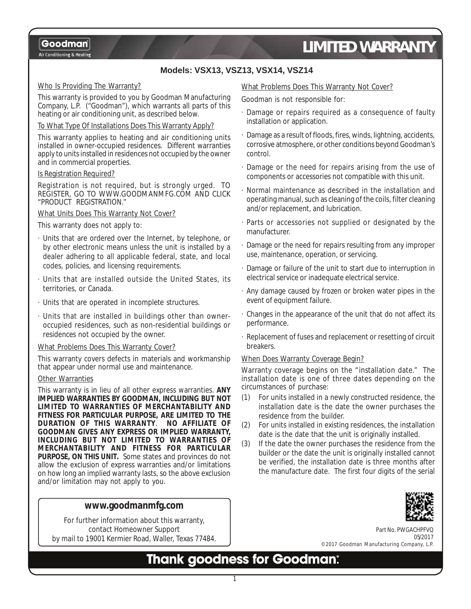Air Conditioning & Heating

# *LIMITED WARRANTY*

## **Models: VSX13, VSZ13, VSX14, VSZ14**

### Who Is Providing The Warranty?

This warranty is provided to you by Goodman Manufacturing Company, L.P. ("Goodman"), which warrants all parts of this heating or air conditioning unit, as described below.

### To What Type Of Installations Does This Warranty Apply?

This warranty applies to heating and air conditioning units installed in owner-occupied residences. Different warranties apply to units installed in residences not occupied by the owner and in commercial properties.

### Is Registration Required?

Registration is not required, but is strongly urged. TO REGISTER, GO TO WWW.GOODMANMFG.COM AND CLICK "PRODUCT REGISTRATION."

### What Units Does This Warranty Not Cover?

This warranty does not apply to:

- · Units that are ordered over the Internet, by telephone, or by other electronic means unless the unit is installed by a dealer adhering to all applicable federal, state, and local codes, policies, and licensing requirements.
- · Units that are installed outside the United States, its territories, or Canada.
- · Units that are operated in incomplete structures.
- Units that are installed in buildings other than owneroccupied residences, such as non-residential buildings or residences not occupied by the owner.

### What Problems Does This Warranty Cover?

This warranty covers defects in materials and workmanship that appear under normal use and maintenance.

### Other Warranties

This warranty is in lieu of all other express warranties. **ANY IMPLIED WARRANTIES BY GOODMAN, INCLUDING BUT NOT LIMITED TO WARRANTIES OF MERCHANTABILITY AND FITNESS FOR PARTICULAR PURPOSE, ARE LIMITED TO THE DURATION OF THIS WARRANTY**. **NO AFFILIATE OF GOODMAN GIVES ANY EXPRESS OR IMPLIED WARRANTY, INCLUDING BUT NOT LIMITED TO WARRANTIES OF MERCHANTABILITY AND FITNESS FOR PARTICULAR PURPOSE, ON THIS UNIT.** Some states and provinces do not allow the exclusion of express warranties and/or limitations on how long an implied warranty lasts, so the above exclusion and/or limitation may not apply to you.

### **www.goodmanmfg.com**

For further information about this warranty, contact Homeowner Support by mail to 19001 Kermier Road, Waller, Texas 77484.

### What Problems Does This Warranty Not Cover?

### Goodman is not responsible for:

- Damage or repairs required as a consequence of faulty installation or application.
- Damage as a result of floods, fires, winds, lightning, accidents, corrosive atmosphere, or other conditions beyond Goodman's control.
- · Damage or the need for repairs arising from the use of components or accessories not compatible with this unit.
- Normal maintenance as described in the installation and operating manual, such as cleaning of the coils, filter cleaning and/or replacement, and lubrication.
- · Parts or accessories not supplied or designated by the manufacturer.
- · Damage or the need for repairs resulting from any improper use, maintenance, operation, or servicing.
- · Damage or failure of the unit to start due to interruption in electrical service or inadequate electrical service.
- · Any damage caused by frozen or broken water pipes in the event of equipment failure.
- · Changes in the appearance of the unit that do not affect its performance.
- · Replacement of fuses and replacement or resetting of circuit breakers.

### When Does Warranty Coverage Begin?

Warranty coverage begins on the "installation date." The installation date is one of three dates depending on the circumstances of purchase:

- (1) For units installed in a newly constructed residence, the installation date is the date the owner purchases the residence from the builder.
- (2) For units installed in existing residences, the installation date is the date that the unit is originally installed.
- (3) If the date the owner purchases the residence from the builder or the date the unit is originally installed cannot be verified, the installation date is three months after the manufacture date. The first four digits of the serial



Part No. PWGACHPFVQ 05/2017 ©2017 Goodman Manufacturing Company, L.P.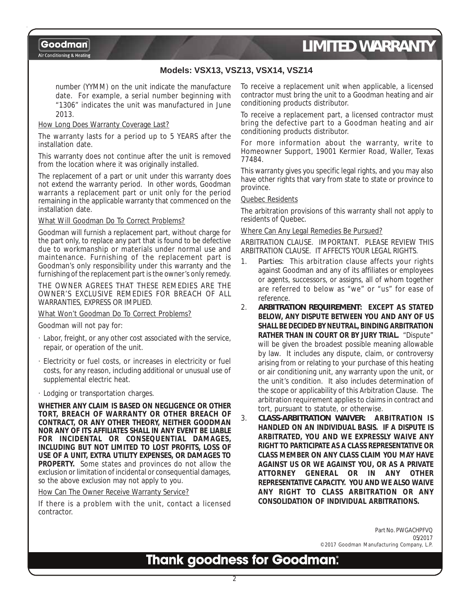Air Conditioning & Heating

# *LIMITED WARRANTY*

### **Models: VSX13, VSZ13, VSX14, VSZ14**

number (YYMM) on the unit indicate the manufacture date. For example, a serial number beginning with "1306" indicates the unit was manufactured in June 2013.

### How Long Does Warranty Coverage Last?

The warranty lasts for a period up to 5 YEARS after the installation date.

This warranty does not continue after the unit is removed from the location where it was originally installed.

The replacement of a part or unit under this warranty does not extend the warranty period. In other words, Goodman warrants a replacement part or unit only for the period remaining in the applicable warranty that commenced on the installation date.

### What Will Goodman Do To Correct Problems?

Goodman will furnish a replacement part, without charge for the part only, to replace any part that is found to be defective due to workmanship or materials under normal use and maintenance. Furnishing of the replacement part is Goodman's only responsibility under this warranty and the furnishing of the replacement part is the owner's only remedy.

THE OWNER AGREES THAT THESE REMEDIES ARE THE OWNER'S EXCLUSIVE REMEDIES FOR BREACH OF ALL WARRANTIES, EXPRESS OR IMPLIED.

#### What Won't Goodman Do To Correct Problems?

Goodman will not pay for:

- · Labor, freight, or any other cost associated with the service, repair, or operation of the unit.
- · Electricity or fuel costs, or increases in electricity or fuel costs, for any reason, including additional or unusual use of supplemental electric heat.
- · Lodging or transportation charges.

**WHETHER ANY CLAIM IS BASED ON NEGLIGENCE OR OTHER TORT, BREACH OF WARRANTY OR OTHER BREACH OF CONTRACT, OR ANY OTHER THEORY, NEITHER GOODMAN NOR ANY OF ITS AFFILIATES SHALL IN ANY EVENT BE LIABLE FOR INCIDENTAL OR CONSEQUENTIAL DAMAGES, INCLUDING BUT NOT LIMITED TO LOST PROFITS, LOSS OF USE OF A UNIT, EXTRA UTILITY EXPENSES, OR DAMAGES TO PROPERTY.** Some states and provinces do not allow the exclusion or limitation of incidental or consequential damages, so the above exclusion may not apply to you.

How Can The Owner Receive Warranty Service?

If there is a problem with the unit, contact a licensed contractor.

To receive a replacement unit when applicable, a licensed contractor must bring the unit to a Goodman heating and air conditioning products distributor.

To receive a replacement part, a licensed contractor must bring the defective part to a Goodman heating and air conditioning products distributor.

For more information about the warranty, write to Homeowner Support, 19001 Kermier Road, Waller, Texas 77484.

This warranty gives you specific legal rights, and you may also have other rights that vary from state to state or province to province.

### Quebec Residents

The arbitration provisions of this warranty shall not apply to residents of Quebec.

### Where Can Any Legal Remedies Be Pursued?

ARBITRATION CLAUSE. IMPORTANT. PLEASE REVIEW THIS ARBITRATION CLAUSE. IT AFFECTS YOUR LEGAL RIGHTS.

- 1. *Parties*: This arbitration clause affects your rights against Goodman and any of its affiliates or employees or agents, successors, or assigns, all of whom together are referred to below as "we" or "us" for ease of reference.
- 2. *ARBITRATION REQUIREMENT***: EXCEPT AS STATED BELOW, ANY DISPUTE BETWEEN YOU AND ANY OF US SHALL BE DECIDED BY NEUTRAL, BINDING ARBITRATION RATHER THAN IN COURT OR BY JURY TRIAL.** "Dispute" will be given the broadest possible meaning allowable by law. It includes any dispute, claim, or controversy arising from or relating to your purchase of this heating or air conditioning unit, any warranty upon the unit, or the unit's condition. It also includes determination of the scope or applicability of this Arbitration Clause. The arbitration requirement applies to claims in contract and tort, pursuant to statute, or otherwise.
- 3. *CLASS-ARBITRATION WAIVER***: ARBITRATION IS HANDLED ON AN INDIVIDUAL BASIS. IF A DISPUTE IS ARBITRATED, YOU AND WE EXPRESSLY WAIVE ANY RIGHT TO PARTICIPATE AS A CLASS REPRESENTATIVE OR CLASS MEMBER ON ANY CLASS CLAIM YOU MAY HAVE AGAINST US OR WE AGAINST YOU, OR AS A PRIVATE ATTORNEY GENERAL OR IN ANY OTHER REPRESENTATIVE CAPACITY. YOU AND WE ALSO WAIVE ANY RIGHT TO CLASS ARBITRATION OR ANY CONSOLIDATION OF INDIVIDUAL ARBITRATIONS.**

Part No. PWGACHPFVQ 05/2017 ©2017 Goodman Manufacturing Company, L.P.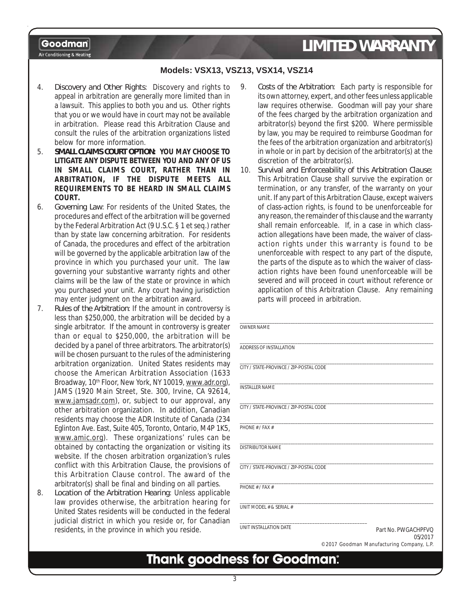### **Models: VSX13, VSZ13, VSX14, VSZ14**

- 4. *Discovery and Other Rights*: Discovery and rights to appeal in arbitration are generally more limited than in a lawsuit. This applies to both you and us. Other rights that you or we would have in court may not be available in arbitration. Please read this Arbitration Clause and consult the rules of the arbitration organizations listed below for more information.
- 5. *SMALL CLAIMS COURT OPTION***: YOU MAY CHOOSE TO LITIGATE ANY DISPUTE BETWEEN YOU AND ANY OF US IN SMALL CLAIMS COURT, RATHER THAN IN ARBITRATION, IF THE DISPUTE MEETS ALL REQUIREMENTS TO BE HEARD IN SMALL CLAIMS COURT.**
- 6. *Governing Law*: For residents of the United States, the procedures and effect of the arbitration will be governed by the Federal Arbitration Act (9 U.S.C. § 1 et seq.) rather than by state law concerning arbitration. For residents of Canada, the procedures and effect of the arbitration will be governed by the applicable arbitration law of the province in which you purchased your unit. The law governing your substantive warranty rights and other claims will be the law of the state or province in which you purchased your unit. Any court having jurisdiction may enter judgment on the arbitration award.
- 7. *Rules of the Arbitration*: If the amount in controversy is less than \$250,000, the arbitration will be decided by a single arbitrator. If the amount in controversy is greater than or equal to \$250,000, the arbitration will be decided by a panel of three arbitrators. The arbitrator(s) will be chosen pursuant to the rules of the administering arbitration organization. United States residents may choose the American Arbitration Association (1633 Broadway, 10<sup>th</sup> Floor, New York, NY 10019, www.adr.org), JAMS (1920 Main Street, Ste. 300, Irvine, CA 92614, www.jamsadr.com), or, subject to our approval, any other arbitration organization. In addition, Canadian residents may choose the ADR Institute of Canada (234 Eglinton Ave. East, Suite 405, Toronto, Ontario, M4P 1K5, www.amic.org). These organizations' rules can be obtained by contacting the organization or visiting its website. If the chosen arbitration organization's rules conflict with this Arbitration Clause, the provisions of this Arbitration Clause control. The award of the arbitrator(s) shall be final and binding on all parties.
- 8. *Location of the Arbitration Hearing*: Unless applicable law provides otherwise, the arbitration hearing for United States residents will be conducted in the federal judicial district in which you reside or, for Canadian residents, in the province in which you reside.
- 9. *Costs of the Arbitration*: Each party is responsible for its own attorney, expert, and other fees unless applicable law requires otherwise. Goodman will pay your share of the fees charged by the arbitration organization and arbitrator(s) beyond the first \$200. Where permissible by law, you may be required to reimburse Goodman for the fees of the arbitration organization and arbitrator(s) in whole or in part by decision of the arbitrator(s) at the discretion of the arbitrator(s).
- 10. *Survival and Enforceability of this Arbitration Clause*: This Arbitration Clause shall survive the expiration or termination, or any transfer, of the warranty on your unit. If any part of this Arbitration Clause, except waivers of class-action rights, is found to be unenforceable for any reason, the remainder of this clause and the warranty shall remain enforceable. If, in a case in which classaction allegations have been made, the waiver of classaction rights under this warranty is found to be unenforceable with respect to any part of the dispute, the parts of the dispute as to which the waiver of classaction rights have been found unenforceable will be severed and will proceed in court without reference or application of this Arbitration Clause. Any remaining parts will proceed in arbitration.

| OWNER NAME                              |                                |
|-----------------------------------------|--------------------------------|
| ADDRESS OF INSTALLATION                 |                                |
| CITY / STATE-PROVINCE / ZIP-POSTAL CODE |                                |
| <b>INSTALLER NAME</b>                   |                                |
| CITY / STATE-PROVINCE / ZIP-POSTAL CODE |                                |
| PHONF # / FAX #                         |                                |
| <b>DISTRIBUTOR NAME</b>                 |                                |
| CITY / STATE-PROVINCE / ZIP-POSTAL CODE |                                |
| PHONE # / FAX #                         |                                |
| UNIT MODEL # & SERIAL #                 |                                |
| UNIT INSTALLATION DATE                  | Part No. PWGACHPFVQ<br>05/2017 |

©2017 Goodman Manufacturing Company, L.P.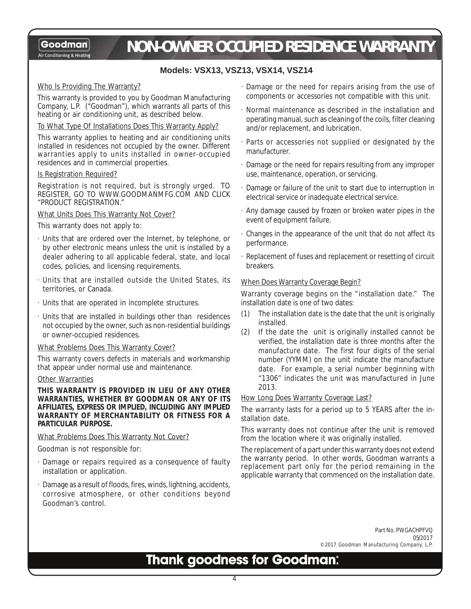Air Conditioning & Heating

# *NON-OWNER OCCUPIED RESIDENCE WARRANTY*

### **Models: VSX13, VSZ13, VSX14, VSZ14**

### Who Is Providing The Warranty?

This warranty is provided to you by Goodman Manufacturing Company, L.P. ("Goodman"), which warrants all parts of this heating or air conditioning unit, as described below.

### To What Type Of Installations Does This Warranty Apply?

This warranty applies to heating and air conditioning units installed in residences not occupied by the owner. Different warranties apply to units installed in owner-occupied residences and in commercial properties.

### Is Registration Required?

Registration is not required, but is strongly urged. TO REGISTER, GO TO WWW.GOODMANMFG.COM AND CLICK "PRODUCT REGISTRATION."

### What Units Does This Warranty Not Cover?

### This warranty does not apply to:

- · Units that are ordered over the Internet, by telephone, or by other electronic means unless the unit is installed by a dealer adhering to all applicable federal, state, and local codes, policies, and licensing requirements.
- · Units that are installed outside the United States, its territories, or Canada.
- · Units that are operated in incomplete structures.
- · Units that are installed in buildings other than residences not occupied by the owner, such as non-residential buildings or owner-occupied residences.

### What Problems Does This Warranty Cover?

This warranty covers defects in materials and workmanship that appear under normal use and maintenance.

### Other Warranties

**THIS WARRANTY IS PROVIDED IN LIEU OF ANY OTHER WARRANTIES, WHETHER BY GOODMAN OR ANY OF ITS AFFILIATES, EXPRESS OR IMPLIED, INCLUDING ANY IMPLIED WARRANTY OF MERCHANTABILITY OR FITNESS FOR A PARTICULAR PURPOSE.**

### What Problems Does This Warranty Not Cover?

Goodman is not responsible for:

- · Damage or repairs required as a consequence of faulty installation or application.
- Damage as a result of floods, fires, winds, lightning, accidents, corrosive atmosphere, or other conditions beyond Goodman's control.
- · Damage or the need for repairs arising from the use of components or accessories not compatible with this unit.
- · Normal maintenance as described in the installation and operating manual, such as cleaning of the coils, filter cleaning and/or replacement, and lubrication.
- · Parts or accessories not supplied or designated by the manufacturer.
- · Damage or the need for repairs resulting from any improper use, maintenance, operation, or servicing.
- · Damage or failure of the unit to start due to interruption in electrical service or inadequate electrical service.
- · Any damage caused by frozen or broken water pipes in the event of equipment failure.
- · Changes in the appearance of the unit that do not affect its performance.
- · Replacement of fuses and replacement or resetting of circuit breakers.

### When Does Warranty Coverage Begin?

Warranty coverage begins on the "installation date." The installation date is one of two dates:

- (1) The installation date is the date that the unit is originally installed.
- (2) If the date the unit is originally installed cannot be verified, the installation date is three months after the manufacture date. The first four digits of the serial number (YYMM) on the unit indicate the manufacture date. For example, a serial number beginning with "1306" indicates the unit was manufactured in June 2013.

### How Long Does Warranty Coverage Last?

The warranty lasts for a period up to 5 YEARS after the installation date.

This warranty does not continue after the unit is removed from the location where it was originally installed.

The replacement of a part under this warranty does not extend the warranty period. In other words, Goodman warrants a replacement part only for the period remaining in the applicable warranty that commenced on the installation date.

> Part No. PWGACHPFVQ 05/2017 ©2017 Goodman Manufacturing Company, L.P.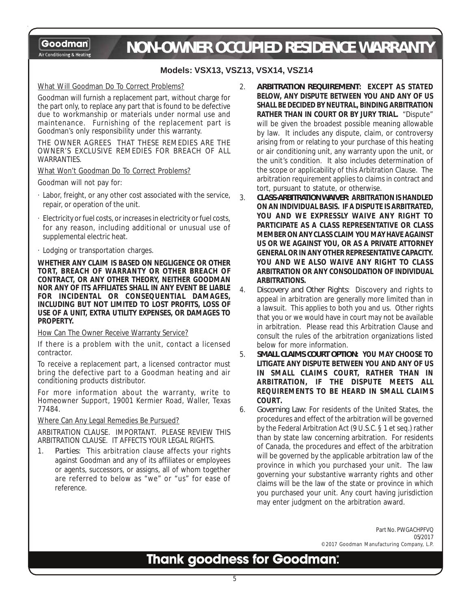Goodman Air Conditioning & Heating

# *NON-OWNER OCCUPIED RESIDENCE WARRANTY*

### **Models: VSX13, VSZ13, VSX14, VSZ14**

### What Will Goodman Do To Correct Problems?

Goodman will furnish a replacement part, without charge for the part only, to replace any part that is found to be defective due to workmanship or materials under normal use and maintenance. Furnishing of the replacement part is Goodman's only responsibility under this warranty.

THE OWNER AGREES THAT THESE REMEDIES ARE THE OWNER'S EXCLUSIVE REMEDIES FOR BREACH OF ALL WARRANTIES.

What Won't Goodman Do To Correct Problems?

Goodman will not pay for:

- · Labor, freight, or any other cost associated with the service, repair, or operation of the unit.
- Electricity or fuel costs, or increases in electricity or fuel costs, for any reason, including additional or unusual use of supplemental electric heat.
- · Lodging or transportation charges.

**WHETHER ANY CLAIM IS BASED ON NEGLIGENCE OR OTHER TORT, BREACH OF WARRANTY OR OTHER BREACH OF CONTRACT, OR ANY OTHER THEORY, NEITHER GOODMAN NOR ANY OF ITS AFFILIATES SHALL IN ANY EVENT BE LIABLE FOR INCIDENTAL OR CONSEQUENTIAL DAMAGES, INCLUDING BUT NOT LIMITED TO LOST PROFITS, LOSS OF USE OF A UNIT, EXTRA UTILITY EXPENSES, OR DAMAGES TO PROPERTY.**

### How Can The Owner Receive Warranty Service?

If there is a problem with the unit, contact a licensed contractor.

To receive a replacement part, a licensed contractor must bring the defective part to a Goodman heating and air conditioning products distributor.

For more information about the warranty, write to Homeowner Support, 19001 Kermier Road, Waller, Texas 77484.

### Where Can Any Legal Remedies Be Pursued?

ARBITRATION CLAUSE. IMPORTANT. PLEASE REVIEW THIS ARBITRATION CLAUSE. IT AFFECTS YOUR LEGAL RIGHTS.

1. *Parties*: This arbitration clause affects your rights against Goodman and any of its affiliates or employees or agents, successors, or assigns, all of whom together are referred to below as "we" or "us" for ease of reference.

- 2. *ARBITRATION REQUIREMENT***: EXCEPT AS STATED BELOW, ANY DISPUTE BETWEEN YOU AND ANY OF US SHALL BE DECIDED BY NEUTRAL, BINDING ARBITRATION RATHER THAN IN COURT OR BY JURY TRIAL.** "Dispute" will be given the broadest possible meaning allowable by law. It includes any dispute, claim, or controversy arising from or relating to your purchase of this heating or air conditioning unit, any warranty upon the unit, or the unit's condition. It also includes determination of the scope or applicability of this Arbitration Clause. The arbitration requirement applies to claims in contract and tort, pursuant to statute, or otherwise.
- 3. *CLASS-ARBITRATION WAIVER***: ARBITRATION IS HANDLED ON AN INDIVIDUAL BASIS. IF A DISPUTE IS ARBITRATED, YOU AND WE EXPRESSLY WAIVE ANY RIGHT TO PARTICIPATE AS A CLASS REPRESENTATIVE OR CLASS MEMBER ON ANY CLASS CLAIM YOU MAY HAVE AGAINST US OR WE AGAINST YOU, OR AS A PRIVATE ATTORNEY GENERAL OR IN ANY OTHER REPRESENTATIVE CAPACITY. YOU AND WE ALSO WAIVE ANY RIGHT TO CLASS ARBITRATION OR ANY CONSOLIDATION OF INDIVIDUAL ARBITRATIONS.**
- 4. *Discovery and Other Rights*: Discovery and rights to appeal in arbitration are generally more limited than in a lawsuit. This applies to both you and us. Other rights that you or we would have in court may not be available in arbitration. Please read this Arbitration Clause and consult the rules of the arbitration organizations listed below for more information.
- 5. *SMALL CLAIMS COURT OPTION***: YOU MAY CHOOSE TO LITIGATE ANY DISPUTE BETWEEN YOU AND ANY OF US IN SMALL CLAIMS COURT, RATHER THAN IN ARBITRATION, IF THE DISPUTE MEETS ALL REQUIREMENTS TO BE HEARD IN SMALL CLAIMS COURT.**
- 6. *Governing Law*: For residents of the United States, the procedures and effect of the arbitration will be governed by the Federal Arbitration Act (9 U.S.C. § 1 et seq.) rather than by state law concerning arbitration. For residents of Canada, the procedures and effect of the arbitration will be governed by the applicable arbitration law of the province in which you purchased your unit. The law governing your substantive warranty rights and other claims will be the law of the state or province in which you purchased your unit. Any court having jurisdiction may enter judgment on the arbitration award.

Part No. PWGACHPFVQ 05/2017 ©2017 Goodman Manufacturing Company, L.P.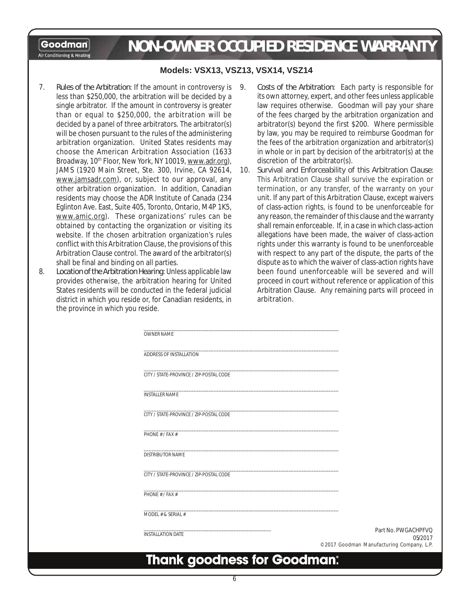**Goodman** Air Conditioning & Heating

# *NON-OWNER OCCUPIED RESIDENCE WARRANTY*

### **Models: VSX13, VSZ13, VSX14, VSZ14**

- 7. *Rules of the Arbitration*: If the amount in controversy is less than \$250,000, the arbitration will be decided by a single arbitrator. If the amount in controversy is greater than or equal to \$250,000, the arbitration will be decided by a panel of three arbitrators. The arbitrator(s) will be chosen pursuant to the rules of the administering arbitration organization. United States residents may choose the American Arbitration Association (1633 Broadway, 10<sup>th</sup> Floor, New York, NY 10019, www.adr.org), JAMS (1920 Main Street, Ste. 300, Irvine, CA 92614, www.jamsadr.com), or, subject to our approval, any other arbitration organization. In addition, Canadian residents may choose the ADR Institute of Canada (234 Eglinton Ave. East, Suite 405, Toronto, Ontario, M4P 1K5, www.amic.org). These organizations' rules can be obtained by contacting the organization or visiting its website. If the chosen arbitration organization's rules conflict with this Arbitration Clause, the provisions of this Arbitration Clause control. The award of the arbitrator(s) shall be final and binding on all parties.
- 8. *Location of the Arbitration Hearing*: Unless applicable law provides otherwise, the arbitration hearing for United States residents will be conducted in the federal judicial district in which you reside or, for Canadian residents, in the province in which you reside.
- 9. *Costs of the Arbitration*: Each party is responsible for its own attorney, expert, and other fees unless applicable law requires otherwise. Goodman will pay your share of the fees charged by the arbitration organization and arbitrator(s) beyond the first \$200. Where permissible by law, you may be required to reimburse Goodman for the fees of the arbitration organization and arbitrator(s) in whole or in part by decision of the arbitrator(s) at the discretion of the arbitrator(s).
- 10. *Survival and Enforceability of this Arbitration Clause*: This Arbitration Clause shall survive the expiration or termination, or any transfer, of the warranty on your unit. If any part of this Arbitration Clause, except waivers of class-action rights, is found to be unenforceable for any reason, the remainder of this clause and the warranty shall remain enforceable. If, in a case in which class-action allegations have been made, the waiver of class-action rights under this warranty is found to be unenforceable with respect to any part of the dispute, the parts of the dispute as to which the waiver of class-action rights have been found unenforceable will be severed and will proceed in court without reference or application of this Arbitration Clause. Any remaining parts will proceed in arbitration.

| <b>INSTALLATION DATE</b>                | 05/2017<br>©2017 Goodman Manufacturing Company, L.P. |
|-----------------------------------------|------------------------------------------------------|
|                                         | Part No. PWGACHPFVQ                                  |
| MODEL # & SERIAL #                      |                                                      |
| PHONF # / FAX #                         |                                                      |
| CITY / STATE-PROVINCE / ZIP-POSTAL CODE |                                                      |
| <b>DISTRIBUTOR NAME</b>                 |                                                      |
| PHONE # / FAX #                         |                                                      |
| CITY / STATE-PROVINCE / ZIP-POSTAL CODE |                                                      |
| <b>INSTALLER NAME</b>                   |                                                      |
| CITY / STATE-PROVINCE / ZIP-POSTAL CODE |                                                      |
| ADDRESS OF INSTALLATION                 |                                                      |
| <b>OWNER NAME</b>                       |                                                      |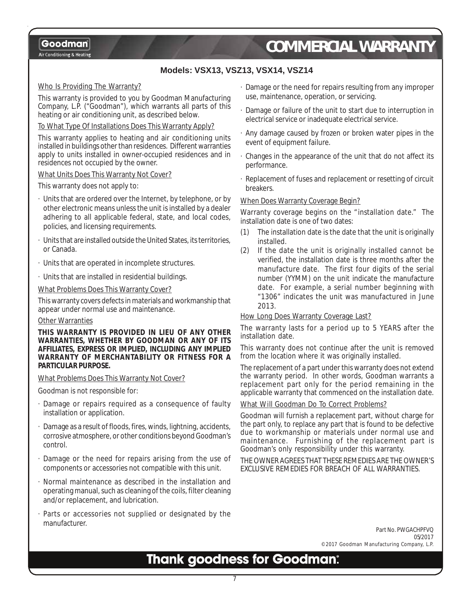Air Conditioning & Heating

# *COMMERCIAL WARRANTY*

### **Models: VSX13, VSZ13, VSX14, VSZ14**

### Who Is Providing The Warranty?

This warranty is provided to you by Goodman Manufacturing Company, L.P. ("Goodman"), which warrants all parts of this heating or air conditioning unit, as described below.

### To What Type Of Installations Does This Warranty Apply?

This warranty applies to heating and air conditioning units installed in buildings other than residences. Different warranties apply to units installed in owner-occupied residences and in residences not occupied by the owner.

### What Units Does This Warranty Not Cover?

This warranty does not apply to:

- · Units that are ordered over the Internet, by telephone, or by other electronic means unless the unit is installed by a dealer adhering to all applicable federal, state, and local codes, policies, and licensing requirements.
- Units that are installed outside the United States, its territories, or Canada.
- · Units that are operated in incomplete structures.
- · Units that are installed in residential buildings.

What Problems Does This Warranty Cover?

This warranty covers defects in materials and workmanship that appear under normal use and maintenance.

### Other Warranties

**THIS WARRANTY IS PROVIDED IN LIEU OF ANY OTHER WARRANTIES, WHETHER BY GOODMAN OR ANY OF ITS AFFILIATES, EXPRESS OR IMPLIED, INCLUDING ANY IMPLIED WARRANTY OF MERCHANTABILITY OR FITNESS FOR A PARTICULAR PURPOSE.**

#### What Problems Does This Warranty Not Cover?

Goodman is not responsible for:

- Damage or repairs required as a consequence of faulty installation or application.
- Damage as a result of floods, fires, winds, lightning, accidents, corrosive atmosphere, or other conditions beyond Goodman's control.
- Damage or the need for repairs arising from the use of components or accessories not compatible with this unit.
- · Normal maintenance as described in the installation and operating manual, such as cleaning of the coils, filter cleaning and/or replacement, and lubrication.
- Parts or accessories not supplied or designated by the manufacturer.
- · Damage or the need for repairs resulting from any improper use, maintenance, operation, or servicing.
- · Damage or failure of the unit to start due to interruption in electrical service or inadequate electrical service.
- · Any damage caused by frozen or broken water pipes in the event of equipment failure.
- · Changes in the appearance of the unit that do not affect its performance.
- · Replacement of fuses and replacement or resetting of circuit breakers.

#### When Does Warranty Coverage Begin?

Warranty coverage begins on the "installation date." The installation date is one of two dates:

- (1) The installation date is the date that the unit is originally installed.
- (2) If the date the unit is originally installed cannot be verified, the installation date is three months after the manufacture date. The first four digits of the serial number (YYMM) on the unit indicate the manufacture date. For example, a serial number beginning with "1306" indicates the unit was manufactured in June 2013.

#### How Long Does Warranty Coverage Last?

The warranty lasts for a period up to 5 YEARS after the installation date.

This warranty does not continue after the unit is removed from the location where it was originally installed.

The replacement of a part under this warranty does not extend the warranty period. In other words, Goodman warrants a replacement part only for the period remaining in the applicable warranty that commenced on the installation date.

### What Will Goodman Do To Correct Problems?

Goodman will furnish a replacement part, without charge for the part only, to replace any part that is found to be defective due to workmanship or materials under normal use and maintenance. Furnishing of the replacement part is Goodman's only responsibility under this warranty.

THE OWNER AGREES THAT THESE REMEDIES ARE THE OWNER'S EXCLUSIVE REMEDIES FOR BREACH OF ALL WARRANTIES.

> Part No. PWGACHPFVQ 05/2017 ©2017 Goodman Manufacturing Company, L.P.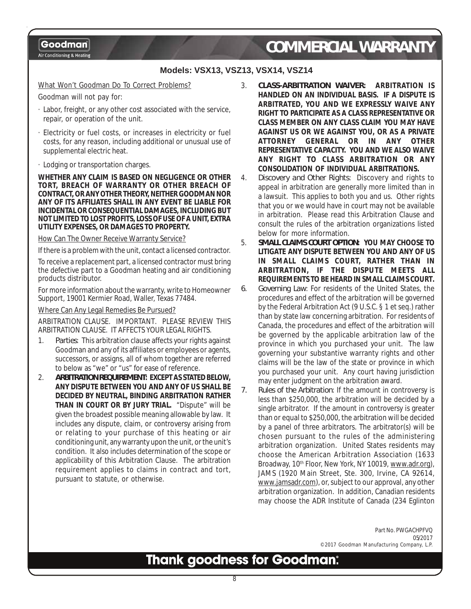Air Conditioning & Heating

# *COMMERCIAL WARRANTY*

### **Models: VSX13, VSZ13, VSX14, VSZ14**

### What Won't Goodman Do To Correct Problems?

Goodman will not pay for:

- · Labor, freight, or any other cost associated with the service, repair, or operation of the unit.
- · Electricity or fuel costs, or increases in electricity or fuel costs, for any reason, including additional or unusual use of supplemental electric heat.
- · Lodging or transportation charges.

**WHETHER ANY CLAIM IS BASED ON NEGLIGENCE OR OTHER TORT, BREACH OF WARRANTY OR OTHER BREACH OF CONTRACT, OR ANY OTHER THEORY, NEITHER GOODMAN NOR ANY OF ITS AFFILIATES SHALL IN ANY EVENT BE LIABLE FOR INCIDENTAL OR CONSEQUENTIAL DAMAGES, INCLUDING BUT NOT LIMITED TO LOST PROFITS, LOSS OF USE OF A UNIT, EXTRA UTILITY EXPENSES, OR DAMAGES TO PROPERTY.**

How Can The Owner Receive Warranty Service?

If there is a problem with the unit, contact a licensed contractor.

To receive a replacement part, a licensed contractor must bring the defective part to a Goodman heating and air conditioning products distributor.

For more information about the warranty, write to Homeowner Support, 19001 Kermier Road, Waller, Texas 77484.

### Where Can Any Legal Remedies Be Pursued?

ARBITRATION CLAUSE. IMPORTANT. PLEASE REVIEW THIS ARBITRATION CLAUSE. IT AFFECTS YOUR LEGAL RIGHTS.

- 1. *Parties*: This arbitration clause affects your rights against Goodman and any of its affiliates or employees or agents, successors, or assigns, all of whom together are referred to below as "we" or "us" for ease of reference.
- 2. *ARBITRATION REQUIREMENT***: EXCEPT AS STATED BELOW, ANY DISPUTE BETWEEN YOU AND ANY OF US SHALL BE DECIDED BY NEUTRAL, BINDING ARBITRATION RATHER THAN IN COURT OR BY JURY TRIAL.** "Dispute" will be given the broadest possible meaning allowable by law. It includes any dispute, claim, or controversy arising from or relating to your purchase of this heating or air conditioning unit, any warranty upon the unit, or the unit's condition. It also includes determination of the scope or applicability of this Arbitration Clause. The arbitration requirement applies to claims in contract and tort, pursuant to statute, or otherwise.

3. *CLASS-ARBITRATION WAIVER***: ARBITRATION IS HANDLED ON AN INDIVIDUAL BASIS. IF A DISPUTE IS ARBITRATED, YOU AND WE EXPRESSLY WAIVE ANY RIGHT TO PARTICIPATE AS A CLASS REPRESENTATIVE OR CLASS MEMBER ON ANY CLASS CLAIM YOU MAY HAVE AGAINST US OR WE AGAINST YOU, OR AS A PRIVATE ATTORNEY GENERAL OR IN ANY OTHER REPRESENTATIVE CAPACITY. YOU AND WE ALSO WAIVE ANY RIGHT TO CLASS ARBITRATION OR ANY CONSOLIDATION OF INDIVIDUAL ARBITRATIONS.**

4. *Discovery and Other Rights*: Discovery and rights to appeal in arbitration are generally more limited than in a lawsuit. This applies to both you and us. Other rights that you or we would have in court may not be available in arbitration. Please read this Arbitration Clause and consult the rules of the arbitration organizations listed below for more information.

5. *SMALL CLAIMS COURT OPTION***: YOU MAY CHOOSE TO LITIGATE ANY DISPUTE BETWEEN YOU AND ANY OF US IN SMALL CLAIMS COURT, RATHER THAN IN ARBITRATION, IF THE DISPUTE MEETS ALL REQUIREMENTS TO BE HEARD IN SMALL CLAIMS COURT.**

- *6. Governing Law*: For residents of the United States, the procedures and effect of the arbitration will be governed by the Federal Arbitration Act (9 U.S.C. § 1 et seq.) rather than by state law concerning arbitration. For residents of Canada, the procedures and effect of the arbitration will be governed by the applicable arbitration law of the province in which you purchased your unit. The law governing your substantive warranty rights and other claims will be the law of the state or province in which you purchased your unit. Any court having jurisdiction may enter judgment on the arbitration award.
- *7. Rules of the Arbitration*: If the amount in controversy is less than \$250,000, the arbitration will be decided by a single arbitrator. If the amount in controversy is greater than or equal to \$250,000, the arbitration will be decided by a panel of three arbitrators. The arbitrator(s) will be chosen pursuant to the rules of the administering arbitration organization. United States residents may choose the American Arbitration Association (1633 Broadway, 10<sup>th</sup> Floor, New York, NY 10019, www.adr.org), JAMS (1920 Main Street, Ste. 300, Irvine, CA 92614, www.jamsadr.com), or, subject to our approval, any other arbitration organization. In addition, Canadian residents may choose the ADR Institute of Canada (234 Eglinton

Part No. PWGACHPFVQ 05/2017 ©2017 Goodman Manufacturing Company, L.P.